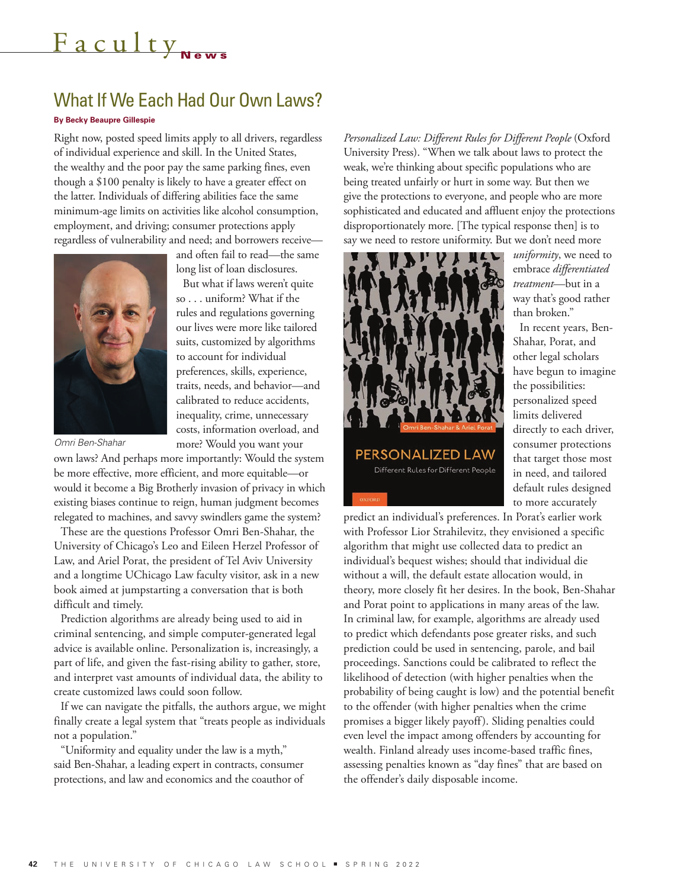## Faculty<sub>News</sub>

## What If We Each Had Our Own Laws?

## **By Becky Beaupre Gillespie**

Right now, posted speed limits apply to all drivers, regardless of individual experience and skill. In the United States, the wealthy and the poor pay the same parking fines, even though a \$100 penalty is likely to have a greater effect on the latter. Individuals of differing abilities face the same minimum-age limits on activities like alcohol consumption, employment, and driving; consumer protections apply regardless of vulnerability and need; and borrowers receive—



and often fail to read—the same long list of loan disclosures.

But what if laws weren't quite so . . . uniform? What if the rules and regulations governing our lives were more like tailored suits, customized by algorithms to account for individual preferences, skills, experience, traits, needs, and behavior—and calibrated to reduce accidents, inequality, crime, unnecessary costs, information overload, and more? Would you want your

*Omri Ben-Shahar*

own laws? And perhaps more importantly: Would the system be more effective, more efficient, and more equitable—or would it become a Big Brotherly invasion of privacy in which existing biases continue to reign, human judgment becomes relegated to machines, and savvy swindlers game the system?

These are the questions Professor Omri Ben-Shahar, the University of Chicago's Leo and Eileen Herzel Professor of Law, and Ariel Porat, the president of Tel Aviv University and a longtime UChicago Law faculty visitor, ask in a new book aimed at jumpstarting a conversation that is both difficult and timely.

Prediction algorithms are already being used to aid in criminal sentencing, and simple computer-generated legal advice is available online. Personalization is, increasingly, a part of life, and given the fast-rising ability to gather, store, and interpret vast amounts of individual data, the ability to create customized laws could soon follow.

If we can navigate the pitfalls, the authors argue, we might finally create a legal system that "treats people as individuals not a population."

"Uniformity and equality under the law is a myth," said Ben-Shahar, a leading expert in contracts, consumer protections, and law and economics and the coauthor of *Personalized Law: Different Rules for Different People* (Oxford University Press). "When we talk about laws to protect the weak, we're thinking about specific populations who are being treated unfairly or hurt in some way. But then we give the protections to everyone, and people who are more sophisticated and educated and affluent enjoy the protections disproportionately more. [The typical response then] is to say we need to restore uniformity. But we don't need more



*uniformity*, we need to embrace *differentiated treatment*—but in a way that's good rather than broken." In recent years, Ben-Shahar, Porat, and other legal scholars have begun to imagine the possibilities: personalized speed limits delivered

directly to each driver, consumer protections that target those most in need, and tailored default rules designed to more accurately

predict an individual's preferences. In Porat's earlier work with Professor Lior Strahilevitz, they envisioned a specific algorithm that might use collected data to predict an individual's bequest wishes; should that individual die without a will, the default estate allocation would, in theory, more closely fit her desires. In the book, Ben-Shahar and Porat point to applications in many areas of the law. In criminal law, for example, algorithms are already used to predict which defendants pose greater risks, and such prediction could be used in sentencing, parole, and bail proceedings. Sanctions could be calibrated to reflect the likelihood of detection (with higher penalties when the probability of being caught is low) and the potential benefit to the offender (with higher penalties when the crime promises a bigger likely payoff). Sliding penalties could even level the impact among offenders by accounting for wealth. Finland already uses income-based traffic fines, assessing penalties known as "day fines" that are based on the offender's daily disposable income.